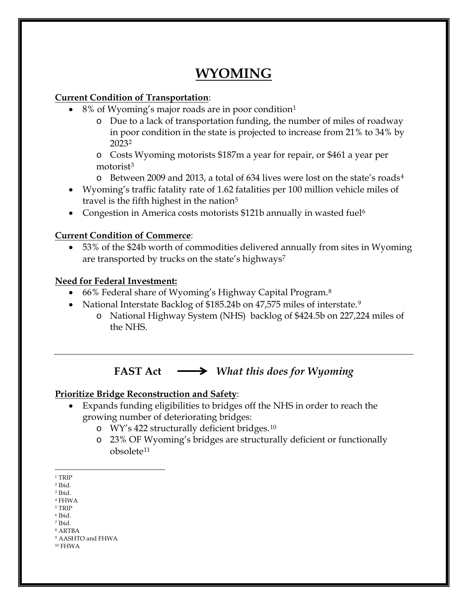# **WYOMING**

### **Current Condition of Transportation**:

- 8% of Wyoming's major roads are in poor condition<sup>[1](#page-0-0)</sup>
	- o Due to a lack of transportation funding, the number of miles of roadway in poor condition in the state is projected to increase from 21% to 34% by 202[32](#page-0-1)
	- o Costs Wyoming motorists \$187m a year for repair, or \$461 a year per motorist<sup>[3](#page-0-2)</sup>
	- $\circ$  Between 2009 and 2013, a total of 63[4](#page-0-3) lives were lost on the state's roads<sup>4</sup>
- Wyoming's traffic fatality rate of 1.62 fatalities per 100 million vehicle miles of travel is the fifth highest in the nation $5$
- Congestion in America costs motorists \$121b annually in wasted fuel<sup>[6](#page-0-5)</sup>

### **Current Condition of Commerce**:

• 53% of the \$24b worth of commodities delivered annually from sites in Wyoming are transported by trucks on the state's highways<sup>[7](#page-0-6)</sup>

### **Need for Federal Investment:**

- 66% Federal share of Wyoming's Highway Capital Program.[8](#page-0-7)
- National Interstate Backlog of \$185.24b on 47,575 miles of interstate.<sup>[9](#page-0-8)</sup>
	- o National Highway System (NHS) backlog of \$424.5b on 227,224 miles of the NHS.

## **FAST Act** *What this does for Wyoming*

### **Prioritize Bridge Reconstruction and Safety**:

- Expands funding eligibilities to bridges off the NHS in order to reach the growing number of deteriorating bridges:
	- o WY's 422 structurally deficient bridges.[10](#page-0-9)
	- o 23% OF Wyoming's bridges are structurally deficient or functionally obsolete[11](#page-0-8)

<span id="page-0-9"></span><sup>10</sup> FHWA

 $\overline{a}$  $^{\rm 1}$  TRIP

<span id="page-0-1"></span><span id="page-0-0"></span><sup>2</sup> Ibid.

<span id="page-0-2"></span><sup>3</sup> Ibid.

<span id="page-0-3"></span><sup>4</sup> FHWA <sup>5</sup> TRIP

<span id="page-0-4"></span><sup>6</sup> Ibid.

<span id="page-0-5"></span><sup>7</sup> Ibid.

<span id="page-0-7"></span><span id="page-0-6"></span><sup>8</sup> ARTBA

<span id="page-0-8"></span><sup>9</sup> AASHTO and FHWA